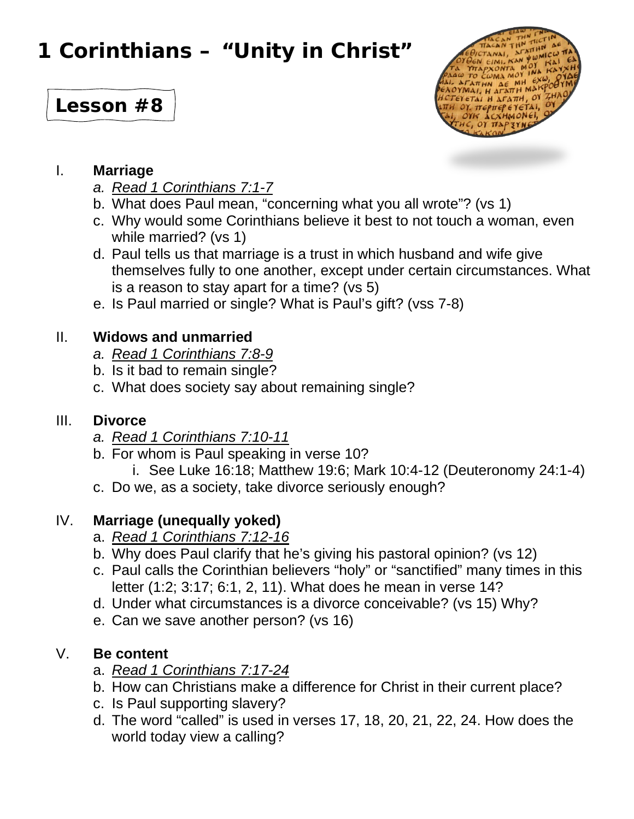# **1 Corinthians – "Unity in Christ"**

# **Lesson #8**



#### I. **Marriage**

- *a. Read 1 Corinthians 7:1-7*
- b. What does Paul mean, "concerning what you all wrote"? (vs 1)
- c. Why would some Corinthians believe it best to not touch a woman, even while married? (vs 1)
- d. Paul tells us that marriage is a trust in which husband and wife give themselves fully to one another, except under certain circumstances. What is a reason to stay apart for a time? (vs 5)
- e. Is Paul married or single? What is Paul's gift? (vss 7-8)

### II. **Widows and unmarried**

- *a. Read 1 Corinthians 7:8-9*
- b. Is it bad to remain single?
- c. What does society say about remaining single?

#### III. **Divorce**

- *a. Read 1 Corinthians 7:10-11*
- b. For whom is Paul speaking in verse 10?
	- i. See Luke 16:18; Matthew 19:6; Mark 10:4-12 (Deuteronomy 24:1-4)
- c. Do we, as a society, take divorce seriously enough?

## IV. **Marriage (unequally yoked)**

- a. *Read 1 Corinthians 7:12-16*
- b. Why does Paul clarify that he's giving his pastoral opinion? (vs 12)
- c. Paul calls the Corinthian believers "holy" or "sanctified" many times in this letter (1:2; 3:17; 6:1, 2, 11). What does he mean in verse 14?
- d. Under what circumstances is a divorce conceivable? (vs 15) Why?
- e. Can we save another person? (vs 16)

#### V. **Be content**

- a. *Read 1 Corinthians 7:17-24*
- b. How can Christians make a difference for Christ in their current place?
- c. Is Paul supporting slavery?
- d. The word "called" is used in verses 17, 18, 20, 21, 22, 24. How does the world today view a calling?